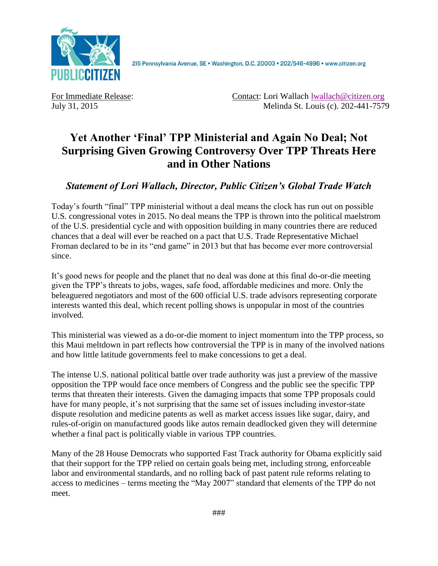

2I5 Pennsylvania Avenue, SE · Washington, D.C. 20003 · 202/546-4996 · www.citizen.org

For Immediate Release: Contact: Lori Wallach [lwallach@citizen.org](javascript:_e(%7B%7D,) July 31, 2015 Melinda St. Louis (c). 202-441-7579

## **Yet Another 'Final' TPP Ministerial and Again No Deal; Not Surprising Given Growing Controversy Over TPP Threats Here and in Other Nations**

## *Statement of Lori Wallach, Director, Public Citizen's Global Trade Watch*

Today's fourth "final" TPP ministerial without a deal means the clock has run out on possible U.S. congressional votes in 2015. No deal means the TPP is thrown into the political maelstrom of the U.S. presidential cycle and with opposition building in many countries there are reduced chances that a deal will ever be reached on a pact that U.S. Trade Representative Michael Froman declared to be in its "end game" in 2013 but that has become ever more controversial since.

It's good news for people and the planet that no deal was done at this final do-or-die meeting given the TPP's threats to jobs, wages, safe food, affordable medicines and more. Only the beleaguered negotiators and most of the 600 official U.S. trade advisors representing corporate interests wanted this deal, which recent polling shows is unpopular in most of the countries involved.

This ministerial was viewed as a do-or-die moment to inject momentum into the TPP process, so this Maui meltdown in part reflects how controversial the TPP is in many of the involved nations and how little latitude governments feel to make concessions to get a deal.

The intense U.S. national political battle over trade authority was just a preview of the massive opposition the TPP would face once members of Congress and the public see the specific TPP terms that threaten their interests. Given the damaging impacts that some TPP proposals could have for many people, it's not surprising that the same set of issues including investor-state dispute resolution and medicine patents as well as market access issues like sugar, dairy, and rules-of-origin on manufactured goods like autos remain deadlocked given they will determine whether a final pact is politically viable in various TPP countries.

Many of the 28 House Democrats who supported Fast Track authority for Obama explicitly said that their support for the TPP relied on certain goals being met, including strong, enforceable labor and environmental standards, and no rolling back of past patent rule reforms relating to access to medicines – terms meeting the "May 2007" standard that elements of the TPP do not meet.